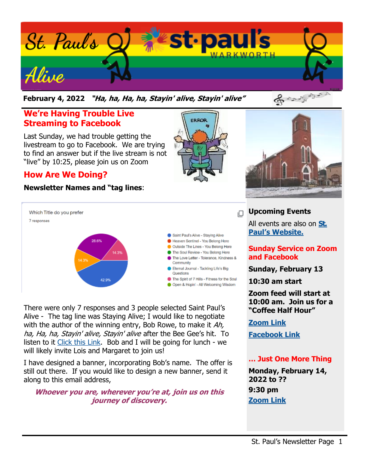

**February 4, 2022 "Ha, ha, Ha, ha, Stayin' alive, Stayin' alive"** 

## **We're Having Trouble Live Streaming to Facebook**

Last Sunday, we had trouble getting the livestream to go to Facebook. We are trying to find an answer but if the live stream is not "live" by 10:25, please join us on Zoom

## **How Are We Doing?**

#### **Newsletter Names and "tag lines**:





There were only 7 responses and 3 people selected Saint Paul's Alive - The tag line was Staying Alive; I would like to negotiate with the author of the winning entry, Bob Rowe, to make it  $Ah$ , ha, Ha, ha, Stayin' alive, Stayin' alive after the Bee Gee's hit. To listen to it [Click this Link.](https://www.youtube.com/watch?v=I_izvAbhExY) Bob and I will be going for lunch - we will likely invite Lois and Margaret to join us!

I have designed a banner, incorporating Bob's name. The offer is still out there. If you would like to design a new banner, send it along to this email address,

#### **Whoever you are, wherever you're at, join us on this journey of discovery.**



### **Upcoming Events**

All events are also on **[St.](https://stpaulswarkworth.ca/)  [Paul's Website.](https://stpaulswarkworth.ca/)**

### **Sunday Service on Zoom and Facebook**

**Sunday, February 13**

**10:30 am start**

**Zoom feed will start at 10:00 am. Join us for a "Coffee Half Hour"**

**[Zoom Link](https://us02web.zoom.us/j/84270666073)**

**[Facebook Link](https://www.facebook.com/stpaulsunitedchurchwarkworth)**

### **… Just One More Thing**

**Monday, February 14, 2022 to ?? 9:30 pm [Zoom Link](https://us02web.zoom.us/j/86555271153?pwd=cVZRVitFVC9BZzdMMk1vakIzTW96dz09)**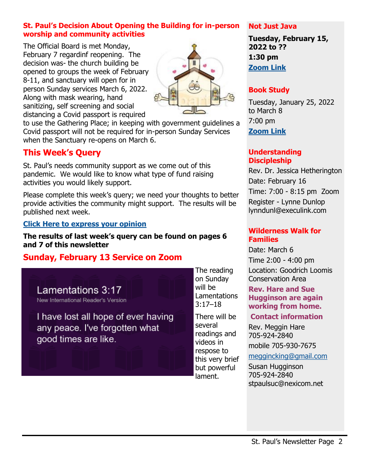### **St. Paul's Decision About Opening the Building for in-person worship and community activities**

The Official Board is met Monday, February 7 regardinf reopening. The decision was- the church building be opened to groups the week of February 8-11, and sanctuary will open for in person Sunday services March 6, 2022. Along with mask wearing, hand sanitizing, self screening and social distancing a Covid passport is required



to use the Gathering Place; in keeping with government guidelines a Covid passport will not be required for in-person Sunday Services when the Sanctuary re-opens on March 6.

## **This Week's Query**

St. Paul's needs community support as we come out of this pandemic. We would like to know what type of fund raising activities you would likely support.

Please complete this week's query; we need your thoughts to better provide activities the community might support. The results will be published next week.

### **[Click Here to express your opinion](https://forms.gle/ZmJVNxsS8ei1K9e4A)**

#### **The results of last week's query can be found on pages 6 and 7 of this newsletter**

## **Sunday, February 13 Service on Zoom**

Lamentations 3:17 New International Reader's Version

I have lost all hope of ever having any peace. I've forgotten what good times are like.

The reading on Sunday will be Lamentations  $3:17 - 18$ 

There will be several readings and videos in respose to this very brief but powerful lament.

#### **Not Just Java**

**Tuesday, February 15, 2022 to ?? 1:30 pm [Zoom Link](https://us02web.zoom.us/j/89298492606?pwd=a2JDMGhWekdwdTMrRWhGOXU2clZCZz09)**

### **Book Study**

Tuesday, January 25, 2022 to March 8 7:00 pm **[Zoom Link](https://us02web.zoom.us/j/87172499370?pwd=SGlZRXZzWWpvb3lHSDNObEo2OEFMQT09)**

#### **Understanding Discipleship**

Rev. Dr. Jessica Hetherington Date: February 16 Time: 7:00 - 8:15 pm Zoom Register - Lynne Dunlop lynndunl@execulink.com

#### **Wilderness Walk for Families**

Date: March 6 Time 2:00 - 4:00 pm Location: Goodrich Loomis Conservation Area

#### **Rev. Hare and Sue Hugginson are again working from home.**

#### **Contact information**

Rev. Meggin Hare 705-924-2840

mobile 705-930-7675

[meggincking@gmail.com](mailto:meggincking@gmail.com)

Susan Hugginson 705-924-2840 stpaulsuc@nexicom.net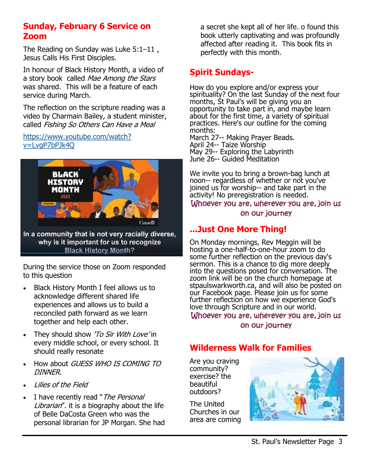## **Sunday, February 6 Service on Zoom**

The Reading on Sunday was Luke  $5:1-11$ , Jesus Calls His First Disciples.

In honour of Black History Month, a video of a story book called Mae Among the Stars was shared. This will be a feature of each service during March.

The reflection on the scripture reading was a video by Charmain Bailey, a student minister, called Fishing So Others Can Have a Meal

[https://www.youtube.com/watch?](https://www.youtube.com/watch?v=LvgP7bPJk4Q) [v=LvgP7bPJk4Q](https://www.youtube.com/watch?v=LvgP7bPJk4Q)



In a community that is not very racially diverse, why is it important for us to recognize **Black History Month?** 

During the service those on Zoom responded to this question

- Black History Month I feel allows us to acknowledge different shared life experiences and allows us to build a reconciled path forward as we learn together and help each other.
- They should show 'To Sir With Love' in every middle school, or every school. It should really resonate
- How about GUESS WHO IS COMING TO DINNER.
- Lilies of the Field
- I have recently read "The Personal Librarian". it is a biography about the life of Belle DaCosta Green who was the personal librarian for JP Morgan. She had

a secret she kept all of her life. o found this book utterly captivating and was profoundly affected after reading it. This book fits in perfectly with this month.

## **Spirit Sundays-**

How do you explore and/or express your spirituality? On the last Sunday of the next four months, St Paul's will be giving you an opportunity to take part in, and maybe learn about for the first time, a variety of spiritual practices. Here's our outline for the coming months:

March 27-- Making Prayer Beads. April 24-- Taize Worship May 29-- Exploring the Labyrinth June 26-- Guided Meditation

We invite you to bring a brown-bag lunch at noon-- regardless of whether or not you've joined us for worship-- and take part in the activity! No preregistration is needed. Whoever you are, wherever you are, join us on our journey

# **...Just One More Thing!**

On Monday mornings, Rev Meggin will be hosting a one-half-to-one-hour zoom to do some further reflection on the previous day's sermon. This is a chance to dig more deeply into the questions posed for conversation. The zoom link will be on the church homepage at stpaulswarkworth.ca, and will also be posted on our Facebook page. Please join us for some further reflection on how we experience God's love through Scripture and in our world. Whoever you are, wherever you are, join us

on our journey

## **Wilderness Walk for Families**

Are you craving community? exercise? the beautiful outdoors?

The United Churches in our area are coming

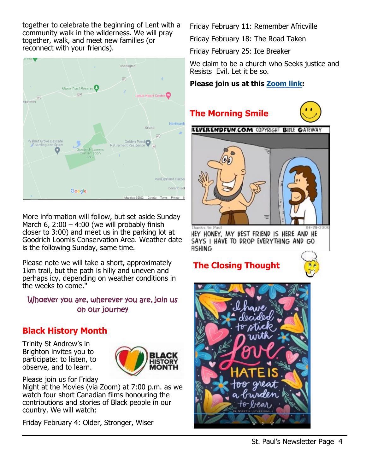together to celebrate the beginning of Lent with a community walk in the wilderness. We will pray together, walk, and meet new families (or reconnect with your friends).



More information will follow, but set aside Sunday March 6,  $2:00 - 4:00$  (we will probably finish closer to 3:00) and meet us in the parking lot at Goodrich Loomis Conservation Area. Weather date is the following Sunday, same time.

Please note we will take a short, approximately 1km trail, but the path is hilly and uneven and perhaps icy, depending on weather conditions in the weeks to come."

### Whoever you are, wherever you are, join us on our journey

## **Black History Month**

Trinity St Andrew's in Brighton invites you to participate: to listen, to observe, and to learn.



Please join us for Friday

Night at the Movies (via Zoom) at 7:00 p.m. as we watch four short Canadian films honouring the contributions and stories of Black people in our country. We will watch:

Friday February 4: Older, Stronger, Wiser

Friday February 11: Remember Africville

Friday February 18: The Road Taken

Friday February 25: Ice Breaker

We claim to be a church who Seeks justice and Resists Evil. Let it be so.

## **Please join us at this [Zoom link:](https://us02web.zoom.us/j/89229631133?pwd=YzU4Qi93UWUrTEVuVDBJU0djWUltQT09)**

# **The Morning Smile**





Thanks to Pau HEY HONEY, MY BEST FRIEND IS HERE AND HE SAYS I HAVE TO DROP EVERYTHING AND GO **RSHING** 

# **The Closing Thought**



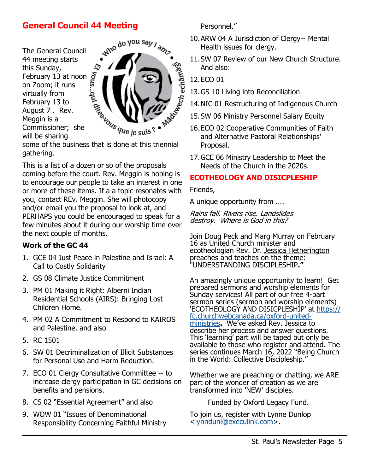## **General Council 44 Meeting**

The General Council 44 meeting starts this Sunday, This Sunday,<br>
February 13 at noon  $\sum_{n=1}^{\infty}$ <br>
on Zoom; it runs on Zoom; it runs virtually from February 13 to August 7 . Rev. Meggin is a virtually 11.<br>
February 13 to<br>
August 7 . Rev.<br>
Meggin is a<br>
Commissioner; she<br>
Anaring<br>
Subseque je suis?<br>
Anaring<br>
Anaring<br>
Anaring<br>  $\frac{1}{2}$  is done at this will be sharing



some of the business that is done at this triennial gathering.

This is a list of a dozen or so of the proposals coming before the court. Rev. Meggin is hoping is to encourage our people to take an interest in one or more of these items. If a a topic resonates with you, contact REv. Meggin. She will photocopy and/or email you the proposal to look at, and PERHAPS you could be encouraged to speak for a few minutes about it during our worship time over the next couple of months.

#### **Work of the GC 44**

- 1. GCE 04 Just Peace in Palestine and Israel: A Call to Costly Solidarity
- 2. GS 08 Climate Justice Commitment
- 3. PM 01 Making it Right: Alberni Indian Residential Schools (AIRS): Bringing Lost Children Home.
- 4. PM 02 A Commitment to Respond to KAIROS and Palestine. and also
- 5. RC 1501
- 6. SW 01 Decriminalization of Illicit Substances for Personal Use and Harm Reduction.
- 7. ECO 01 Clergy Consultative Committee -- to increase clergy participation in GC decisions on benefits and pensions.
- 8. CS 02 "Essential Agreement" and also
- 9. WOW 01 "Issues of Denominational Responsibility Concerning Faithful Ministry

Personnel."

- 10.ARW 04 A Jurisdiction of Clergy-- Mental Health issues for clergy.
- 11.SW 07 Review of our New Church Structure. And also:
- 12.ECO 01
- 13.GS 10 Living into Reconciliation
- 14.NIC 01 Restructuring of Indigenous Church
- 15.SW 06 Ministry Personnel Salary Equity
- 16.ECO 02 Cooperative Communities of Faith and Alternative Pastoral Relationships' Proposal.
- 17.GCE 06 Ministry Leadership to Meet the Needs of the Church in the 2020s.

### **ECOTHEOLOGY AND DISICPLESHIP**

Friends,

A unique opportunity from ....

Rains fall. Rivers rise. Landslides destroy. Where is God in this?

Join Doug Peck and Marg Murray on February 16 as United Church minister and ecotheologian Rev. Dr. [Jessica Hetherington](https://www.facebook.com/jessica.f.hetherington?__cft__%5b0%5d=AZWgYlPjwl7LWVlwBUBenZmNhVdY7BMXDQSlxLIqIrBO3pIbFdkfJ1aI9gWr8WcN0YkUf5cEroGPbI3zGPccz4TX_DqacDledPlg0iUCgmr_KzLAcRGlwjzJYwjOx0_WLLNHhgOKi7qqBHro8wSESByGpqnMl6Uc8uo3pFLRmqlaF0DWHZM3pbQWqFSbIUlexHY&) preaches and teaches on the theme: "UNDERSTANDING DISCIPLESHIP**."**

An amazingly unique opportunity to learn! Get prepared sermons and worship elements for Sunday services! All part of our free 4-part sermon series (sermon and worship elements) 'ECOTHEOLOGY AND DISICPLESHIP' at <u>[https://](https://fc.churchwebcanada.ca/oxford-united-ministries)</u> [fc.churchwebcanada.ca/oxford](https://fc.churchwebcanada.ca/oxford-united-ministries)-united[ministries](https://fc.churchwebcanada.ca/oxford-united-ministries)**.** We've asked Rev. Jessica to describe her process and answer questions. This 'learning' part will be taped but only be available to those who register and attend. The series continues March 16, 2022 "Being Church in the World: Collective Discipleship."

Whether we are preaching or chatting, we ARE part of the wonder of creation as we are transformed into 'NEW' disciples.

Funded by Oxford Legacy Fund.

To join us, register with Lynne Dunlop <[lynndunl@execulink.com>.](mailto:lynndunl@execulink.com)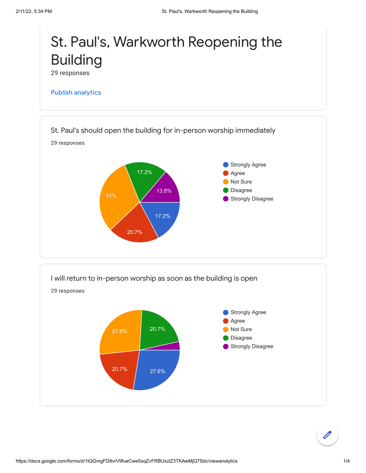

17.2%

20.7%



https://docs.google.com/forms/d/1tQGmgFD8vrV9fueCwe5oqZvFRBUxzlZ3TKAwMjQ7Sdc/viewanalytics 1/4